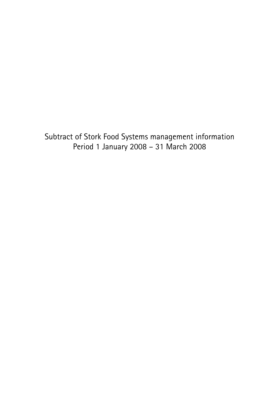Subtract of Stork Food Systems management information Period 1 January 2008 – 31 March 2008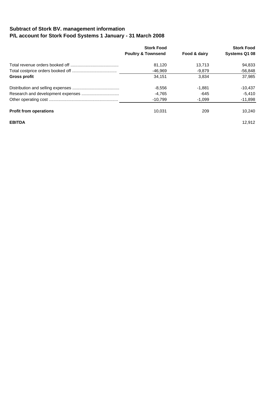## **Subtract of Stork BV. management information P/L account for Stork Food Systems 1 January - 31 March 2008**

|                               | <b>Stork Food</b><br><b>Poultry &amp; Townsend</b> | Food & dairy | <b>Stork Food</b><br>Systems Q1 08 |
|-------------------------------|----------------------------------------------------|--------------|------------------------------------|
|                               | 81,120                                             | 13,713       | 94.833                             |
|                               | -46.969                                            | $-9.879$     | $-56,848$                          |
| Gross profit                  | 34.151                                             | 3.834        | 37.985                             |
|                               | $-8,556$                                           | $-1.881$     | $-10.437$                          |
|                               | -4,765                                             | -645         | $-5,410$                           |
|                               | $-10.799$                                          | $-1,099$     | $-11,898$                          |
| <b>Profit from operations</b> | 10.031                                             | 209          | 10,240                             |
| <b>EBITDA</b>                 |                                                    |              | 12.912                             |